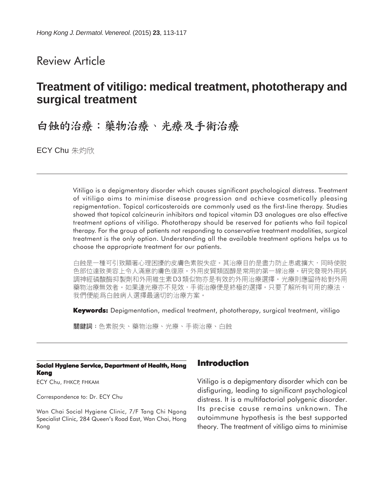## Review Article

# **Treatment of vitiligo: medical treatment, phototherapy and surgical treatment**

# 白蝕的治療:藥物治療、光療及手術治療

**ECY Chu** 朱灼欣

Vitiligo is a depigmentary disorder which causes significant psychological distress. Treatment of vitiligo aims to minimise disease progression and achieve cosmetically pleasing repigmentation. Topical corticosteroids are commonly used as the first-line therapy. Studies showed that topical calcineurin inhibitors and topical vitamin D3 analogues are also effective treatment options of vitiligo. Phototherapy should be reserved for patients who fail topical therapy. For the group of patients not responding to conservative treatment modalities, surgical treatment is the only option. Understanding all the available treatment options helps us to choose the appropriate treatment for our patients.

白蝕是一種可引致顯著心理困擾的皮膚色素脱失症。其治療目的是盡力防止患處擴大,同時使脱 色部位達致美容上令人滿意的膚色復原。外用皮質類固醇是常用的第一線治療。研究發現外用鈣 調神經磷酸酶抑製劑和外用維生素 D3類似物亦是有效的外用治療選擇。光療則應留待給對外用 藥物治療無效者。如果連光療亦不見效,手術治療便是終極的選擇。只要了解所有可用的療法, 我們便能爲白蝕病人選擇最適切的治療方案。

**Keywords:** Depigmentation, medical treatment, phototherapy, surgical treatment, vitiligo

關鍵詞:色素脱失、藥物治療、光療、手術治療、白蝕

#### **Social Hygiene Service, Department of Health, Hong Kong**

ECY Chu, FHKCP, FHKAM

Correspondence to: Dr. ECY Chu

Wan Chai Social Hygiene Clinic, 7/F Tang Chi Ngong Specialist Clinic, 284 Queen's Road East, Wan Chai, Hong Kong

#### **Introduction**

Vitiligo is a depigmentary disorder which can be disfiguring, leading to significant psychological distress. It is a multifactorial polygenic disorder. Its precise cause remains unknown. The autoimmune hypothesis is the best supported theory. The treatment of vitiligo aims to minimise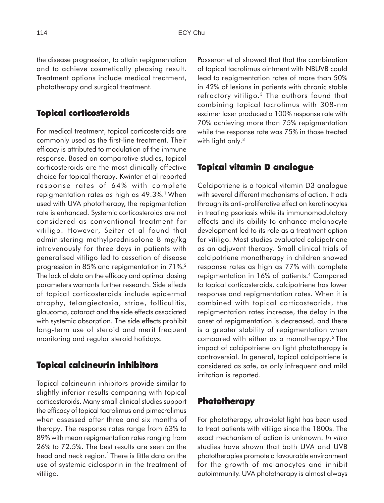the disease progression, to attain repigmentation and to achieve cosmetically pleasing result. Treatment options include medical treatment, phototherapy and surgical treatment.

#### **Topical corticosteroids**

For medical treatment, topical corticosteroids are commonly used as the first-line treatment. Their efficacy is attributed to modulation of the immune response. Based on comparative studies, topical corticosteroids are the most clinically effective choice for topical therapy. Kwinter et al reported response rates of 64% with complete repigmentation rates as high as 49.3%.<sup>1</sup> When used with UVA phototherapy, the repigmentation rate is enhanced. Systemic corticosteroids are not considered as conventional treatment for vitiligo. However, Seiter et al found that administering methylprednisolone 8 mg/kg intravenously for three days in patients with generalised vitiligo led to cessation of disease progression in 85% and repigmentation in 71%.2 The lack of data on the efficacy and optimal dosing parameters warrants further research. Side effects of topical corticosteroids include epidermal atrophy, telangiectasia, striae, folliculitis, glaucoma, cataract and the side effects associated with systemic absorption. The side effects prohibit long-term use of steroid and merit frequent monitoring and regular steroid holidays.

#### **Topical calcineurin inhibitors**

Topical calcineurin inhibitors provide similar to slightly inferior results comparing with topical corticosteroids. Many small clinical studies support the efficacy of topical tacrolimus and pimecrolimus when assessed after three and six months of therapy. The response rates range from 63% to 89% with mean repigmentation rates ranging from 26% to 72.5%. The best results are seen on the head and neck region.<sup>1</sup> There is little data on the use of systemic ciclosporin in the treatment of vitiligo.

Passeron et al showed that that the combination of topical tacrolimus ointment with NBUVB could lead to repigmentation rates of more than 50% in 42% of lesions in patients with chronic stable refractory vitiligo.<sup>3</sup> The authors found that combining topical tacrolimus with 308-nm excimer laser produced a 100% response rate with 70% achieving more than 75% repigmentation while the response rate was 75% in those treated with light only.<sup>3</sup>

#### **Topical vitamin D analogue**

Calcipotriene is a topical vitamin D3 analogue with several different mechanisms of action. It acts through its anti-proliferative effect on keratinocytes in treating psoriasis while its immunomodulatory effects and its ability to enhance melanocyte development led to its role as a treatment option for vitiligo. Most studies evaluated calcipotriene as an adjuvant therapy. Small clinical trials of calcipotriene monotherapy in children showed response rates as high as 77% with complete repigmentation in 16% of patients.4 Compared to topical corticosteroids, calcipotriene has lower response and repigmentation rates. When it is combined with topical corticosteorids, the repigmentation rates increase, the delay in the onset of repigmentation is decreased, and there is a greater stability of repigmentation when compared with either as a monotherapy.5 The impact of calcipotriene on light phototherapy is controversial. In general, topical calcipotriene is considered as safe, as only infrequent and mild irritation is reported.

#### **Phototherapy**

For phototherapy, ultraviolet light has been used to treat patients with vitiligo since the 1800s. The exact mechanism of action is unknown. *In vitro* studies have shown that both UVA and UVB phototherapies promote a favourable environment for the growth of melanocytes and inhibit autoimmunity. UVA phototherapy is almost always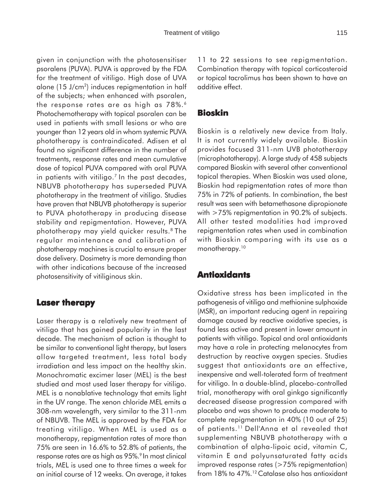given in conjunction with the photosensitiser psoralens (PUVA). PUVA is approved by the FDA for the treatment of vitiligo. High dose of UVA alone (15 J/cm2) induces repigmentation in half of the subjects; when enhanced with psoralen, the response rates are as high as 78%.<sup>6</sup> Photochemotherapy with topical psoralen can be used in patients with small lesions or who are younger than 12 years old in whom systemic PUVA phototherapy is contraindicated. Adisen et al found no significant difference in the number of treatments, response rates and mean cumulative dose of topical PUVA compared with oral PUVA in patients with vitiligo.<sup>7</sup> In the past decades, NBUVB phototherapy has superseded PUVA phototherapy in the treatment of vitiligo. Studies have proven that NBUVB phototherapy is superior to PUVA phototherapy in producing disease stability and repigmentation. However, PUVA phototherapy may yield quicker results.8 The regular maintenance and calibration of phototherapy machines is crucial to ensure proper dose delivery. Dosimetry is more demanding than with other indications because of the increased photosensitivity of vitiliginous skin.

#### **Laser therapy**

Laser therapy is a relatively new treatment of vitiligo that has gained popularity in the last decade. The mechanism of action is thought to be similar to conventional light therapy, but lasers allow targeted treatment, less total body irradiation and less impact on the healthy skin. Monochromatic excimer laser (MEL) is the best studied and most used laser therapy for vitiligo. MEL is a nonablative technology that emits light in the UV range. The xenon chloride MEL emits a 308-nm wavelength, very similar to the 311-nm of NBUVB. The MEL is approved by the FDA for treating vitiligo. When MEL is used as a monotherapy, repigmentation rates of more than 75% are seen in 16.6% to 52.8% of patients, the response rates are as high as 95%.<sup>9</sup> In most clinical trials, MEL is used one to three times a week for an initial course of 12 weeks. On average, it takes

11 to 22 sessions to see repigmentation. Combination therapy with topical corticosteroid or topical tacrolimus has been shown to have an additive effect.

#### **Bioskin**

Bioskin is a relatively new device from Italy. It is not currently widely available. Bioskin provides focused 311-nm UVB phototherapy (microphototherapy). A large study of 458 subjects compared Bioskin with several other conventional topical therapies. When Bioskin was used alone, Bioskin had repigmentation rates of more than 75% in 72% of patients. In combination, the best result was seen with betamethasone dipropionate with >75% repigmentation in 90.2% of subjects. All other tested modalities had improved repigmentation rates when used in combination with Bioskin comparing with its use as a monotherapy.<sup>10</sup>

#### **Antioxidants**

Oxidative stress has been implicated in the pathogenesis of vitiligo and methionine sulphoxide (MSR), an important reducing agent in repairing damage caused by reactive oxidative species, is found less active and present in lower amount in patients with vitiligo. Topical and oral antioxidants may have a role in protecting melanocytes from destruction by reactive oxygen species. Studies suggest that antioxidants are an effective, inexpensive and well-tolerated form of treatment for vitiligo. In a double-blind, placebo-controlled trial, monotherapy with oral ginkgo significantly decreased disease progression compared with placebo and was shown to produce moderate to complete repigmentation in 40% (10 out of 25) of patients.11 Dell'Anna et al revealed that supplementing NBUVB phototherapy with a combination of alpha-lipoic acid, vitamin C, vitamin E and polyunsaturated fatty acids improved response rates (>75% repigmentation) from 18% to 47%.<sup>12</sup> Catalase also has antioxidant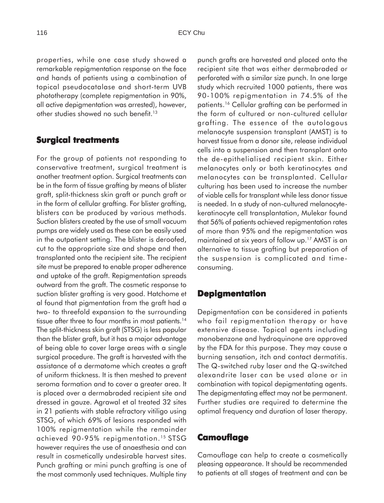properties, while one case study showed a remarkable repigmentation response on the face and hands of patients using a combination of topical pseudocatalase and short-term UVB phototherapy (complete repigmentation in 90%, all active depigmentation was arrested), however, other studies showed no such benefit.<sup>13</sup>

### **Surgical treatments**

For the group of patients not responding to conservative treatment, surgical treatment is another treatment option. Surgical treatments can be in the form of tissue grafting by means of blister graft, split-thickness skin graft or punch graft or in the form of cellular grafting. For blister grafting, blisters can be produced by various methods. Suction blisters created by the use of small vacuum pumps are widely used as these can be easily used in the outpatient setting. The blister is deroofed, cut to the appropriate size and shape and then transplanted onto the recipient site. The recipient site must be prepared to enable proper adherence and uptake of the graft. Repigmentation spreads outward from the graft. The cosmetic response to suction blister grafting is very good. Hatchome et al found that pigmentation from the graft had a two- to threefold expansion to the surrounding tissue after three to four months in most patients.<sup>14</sup> The split-thickness skin graft (STSG) is less popular than the blister graft, but it has a major advantage of being able to cover large areas with a single surgical procedure. The graft is harvested with the assistance of a dermatome which creates a graft of uniform thickness. It is then meshed to prevent seroma formation and to cover a greater area. It is placed over a dermabraded recipient site and dressed in gauze. Agrawal et al treated 32 sites in 21 patients with stable refractory vitiligo using STSG, of which 69% of lesions responded with 100% repigmentation while the remainder achieved 90-95% repigmentation.15 STSG however requires the use of anaesthesia and can result in cosmetically undesirable harvest sites. Punch grafting or mini punch grafting is one of the most commonly used techniques. Multiple tiny punch grafts are harvested and placed onto the recipient site that was either dermabraded or perforated with a similar size punch. In one large study which recruited 1000 patients, there was 90-100% repigmentation in 74.5% of the patients.16 Cellular grafting can be performed in the form of cultured or non-cultured cellular grafting. The essence of the autologous melanocyte suspension transplant (AMST) is to harvest tissue from a donor site, release individual cells into a suspension and then transplant onto the de-epithelialised recipient skin. Either melanocytes only or both keratinocytes and melanocytes can be transplanted. Cellular culturing has been used to increase the number of viable cells for transplant while less donor tissue is needed. In a study of non-cultured melanocytekeratinocyte cell transplantation, Mulekar found that 56% of patients achieved repigmentation rates of more than 95% and the repigmentation was maintained at six years of follow up.17 AMST is an alternative to tissue grafting but preparation of the suspension is complicated and timeconsuming.

#### **Depigmentation**

Depigmentation can be considered in patients who fail repigmentation therapy or have extensive disease. Topical agents including monobenzone and hydroquinone are approved by the FDA for this purpose. They may cause a burning sensation, itch and contact dermatitis. The Q-switched ruby laser and the Q-switched alexandrite laser can be used alone or in combination with topical depigmentating agents. The depigmentating effect may not be permanent. Further studies are required to determine the optimal frequency and duration of laser therapy.

#### **Camouflage**

Camouflage can help to create a cosmetically pleasing appearance. It should be recommended to patients at all stages of treatment and can be